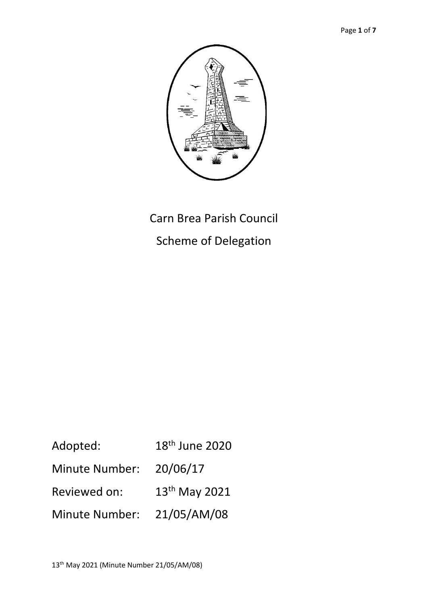

# Carn Brea Parish Council

Scheme of Delegation

| Adopted:       | 18 <sup>th</sup> June 2020 |
|----------------|----------------------------|
| Minute Number: | 20/06/17                   |
| Reviewed on:   | 13 <sup>th</sup> May 2021  |
| Minute Number: | 21/05/AM/08                |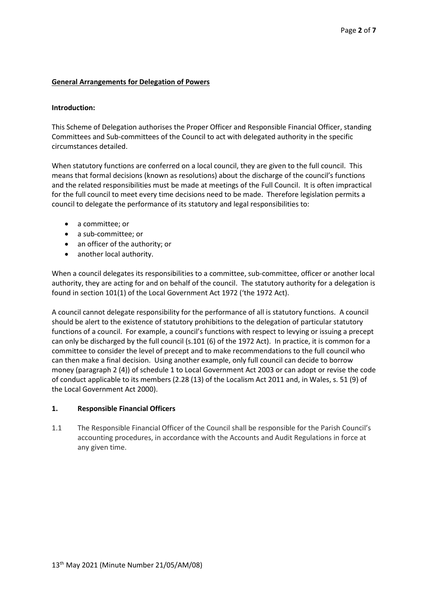## **General Arrangements for Delegation of Powers**

#### **Introduction:**

This Scheme of Delegation authorises the Proper Officer and Responsible Financial Officer, standing Committees and Sub-committees of the Council to act with delegated authority in the specific circumstances detailed.

When statutory functions are conferred on a local council, they are given to the full council. This means that formal decisions (known as resolutions) about the discharge of the council's functions and the related responsibilities must be made at meetings of the Full Council. It is often impractical for the full council to meet every time decisions need to be made. Therefore legislation permits a council to delegate the performance of its statutory and legal responsibilities to:

- a committee; or
- a sub-committee; or
- an officer of the authority; or
- another local authority.

When a council delegates its responsibilities to a committee, sub-committee, officer or another local authority, they are acting for and on behalf of the council. The statutory authority for a delegation is found in section 101(1) of the Local Government Act 1972 ('the 1972 Act).

A council cannot delegate responsibility for the performance of all is statutory functions. A council should be alert to the existence of statutory prohibitions to the delegation of particular statutory functions of a council. For example, a council's functions with respect to levying or issuing a precept can only be discharged by the full council (s.101 (6) of the 1972 Act). In practice, it is common for a committee to consider the level of precept and to make recommendations to the full council who can then make a final decision. Using another example, only full council can decide to borrow money (paragraph 2 (4)) of schedule 1 to Local Government Act 2003 or can adopt or revise the code of conduct applicable to its members (2.28 (13) of the Localism Act 2011 and, in Wales, s. 51 (9) of the Local Government Act 2000).

#### **1. Responsible Financial Officers**

1.1 The Responsible Financial Officer of the Council shall be responsible for the Parish Council's accounting procedures, in accordance with the Accounts and Audit Regulations in force at any given time.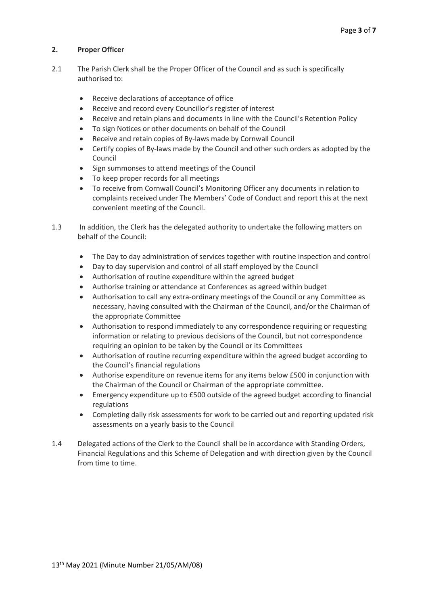# **2. Proper Officer**

- 2.1 The Parish Clerk shall be the Proper Officer of the Council and as such is specifically authorised to:
	- Receive declarations of acceptance of office
	- Receive and record every Councillor's register of interest
	- Receive and retain plans and documents in line with the Council's Retention Policy
	- To sign Notices or other documents on behalf of the Council
	- Receive and retain copies of By-laws made by Cornwall Council
	- Certify copies of By-laws made by the Council and other such orders as adopted by the Council
	- Sign summonses to attend meetings of the Council
	- To keep proper records for all meetings
	- To receive from Cornwall Council's Monitoring Officer any documents in relation to complaints received under The Members' Code of Conduct and report this at the next convenient meeting of the Council.
- 1.3 In addition, the Clerk has the delegated authority to undertake the following matters on behalf of the Council:
	- The Day to day administration of services together with routine inspection and control
	- Day to day supervision and control of all staff employed by the Council
	- Authorisation of routine expenditure within the agreed budget
	- Authorise training or attendance at Conferences as agreed within budget
	- Authorisation to call any extra-ordinary meetings of the Council or any Committee as necessary, having consulted with the Chairman of the Council, and/or the Chairman of the appropriate Committee
	- Authorisation to respond immediately to any correspondence requiring or requesting information or relating to previous decisions of the Council, but not correspondence requiring an opinion to be taken by the Council or its Committees
	- Authorisation of routine recurring expenditure within the agreed budget according to the Council's financial regulations
	- Authorise expenditure on revenue items for any items below £500 in conjunction with the Chairman of the Council or Chairman of the appropriate committee.
	- Emergency expenditure up to £500 outside of the agreed budget according to financial regulations
	- Completing daily risk assessments for work to be carried out and reporting updated risk assessments on a yearly basis to the Council
- 1.4 Delegated actions of the Clerk to the Council shall be in accordance with Standing Orders, Financial Regulations and this Scheme of Delegation and with direction given by the Council from time to time.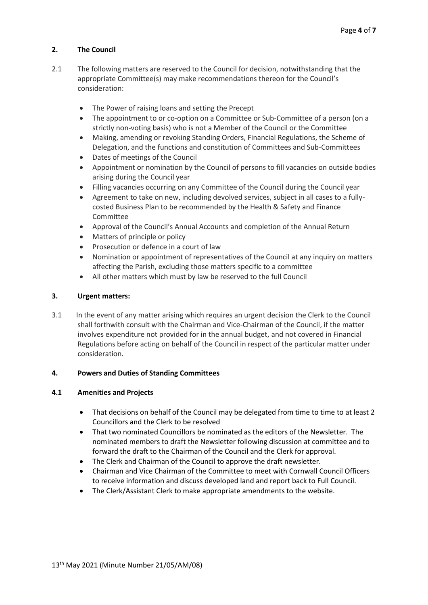# **2. The Council**

- 2.1 The following matters are reserved to the Council for decision, notwithstanding that the appropriate Committee(s) may make recommendations thereon for the Council's consideration:
	- The Power of raising loans and setting the Precept
	- The appointment to or co-option on a Committee or Sub-Committee of a person (on a strictly non-voting basis) who is not a Member of the Council or the Committee
	- Making, amending or revoking Standing Orders, Financial Regulations, the Scheme of Delegation, and the functions and constitution of Committees and Sub-Committees
	- Dates of meetings of the Council
	- Appointment or nomination by the Council of persons to fill vacancies on outside bodies arising during the Council year
	- Filling vacancies occurring on any Committee of the Council during the Council year
	- Agreement to take on new, including devolved services, subject in all cases to a fullycosted Business Plan to be recommended by the Health & Safety and Finance Committee
	- Approval of the Council's Annual Accounts and completion of the Annual Return
	- Matters of principle or policy
	- Prosecution or defence in a court of law
	- Nomination or appointment of representatives of the Council at any inquiry on matters affecting the Parish, excluding those matters specific to a committee
	- All other matters which must by law be reserved to the full Council

# **3. Urgent matters:**

3.1 In the event of any matter arising which requires an urgent decision the Clerk to the Council shall forthwith consult with the Chairman and Vice-Chairman of the Council, if the matter involves expenditure not provided for in the annual budget, and not covered in Financial Regulations before acting on behalf of the Council in respect of the particular matter under consideration.

#### **4. Powers and Duties of Standing Committees**

#### **4.1 Amenities and Projects**

- That decisions on behalf of the Council may be delegated from time to time to at least 2 Councillors and the Clerk to be resolved
- That two nominated Councillors be nominated as the editors of the Newsletter. The nominated members to draft the Newsletter following discussion at committee and to forward the draft to the Chairman of the Council and the Clerk for approval.
- The Clerk and Chairman of the Council to approve the draft newsletter.
- Chairman and Vice Chairman of the Committee to meet with Cornwall Council Officers to receive information and discuss developed land and report back to Full Council.
- The Clerk/Assistant Clerk to make appropriate amendments to the website.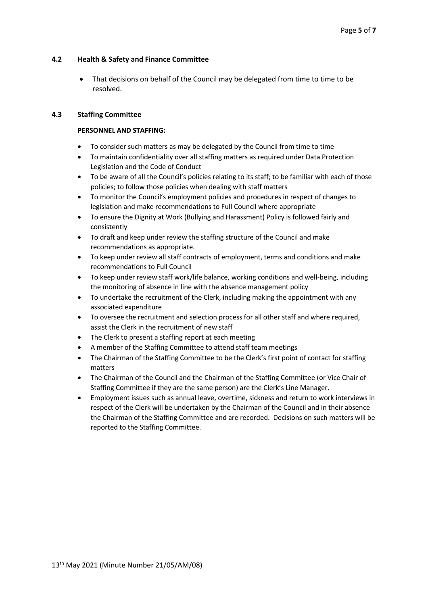## **4.2 Health & Safety and Finance Committee**

That decisions on behalf of the Council may be delegated from time to time to be resolved.

## **4.3 Staffing Committee**

## **PERSONNEL AND STAFFING:**

- To consider such matters as may be delegated by the Council from time to time
- To maintain confidentiality over all staffing matters as required under Data Protection Legislation and the Code of Conduct
- To be aware of all the Council's policies relating to its staff; to be familiar with each of those policies; to follow those policies when dealing with staff matters
- To monitor the Council's employment policies and procedures in respect of changes to legislation and make recommendations to Full Council where appropriate
- To ensure the Dignity at Work (Bullying and Harassment) Policy is followed fairly and consistently
- To draft and keep under review the staffing structure of the Council and make recommendations as appropriate.
- To keep under review all staff contracts of employment, terms and conditions and make recommendations to Full Council
- To keep under review staff work/life balance, working conditions and well-being, including the monitoring of absence in line with the absence management policy
- To undertake the recruitment of the Clerk, including making the appointment with any associated expenditure
- To oversee the recruitment and selection process for all other staff and where required, assist the Clerk in the recruitment of new staff
- The Clerk to present a staffing report at each meeting
- A member of the Staffing Committee to attend staff team meetings
- The Chairman of the Staffing Committee to be the Clerk's first point of contact for staffing matters
- The Chairman of the Council and the Chairman of the Staffing Committee (or Vice Chair of Staffing Committee if they are the same person) are the Clerk's Line Manager.
- Employment issues such as annual leave, overtime, sickness and return to work interviews in respect of the Clerk will be undertaken by the Chairman of the Council and in their absence the Chairman of the Staffing Committee and are recorded. Decisions on such matters will be reported to the Staffing Committee.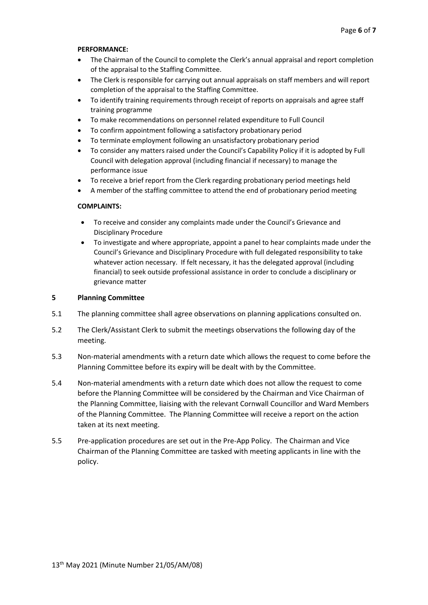#### **PERFORMANCE:**

- The Chairman of the Council to complete the Clerk's annual appraisal and report completion of the appraisal to the Staffing Committee.
- The Clerk is responsible for carrying out annual appraisals on staff members and will report completion of the appraisal to the Staffing Committee.
- To identify training requirements through receipt of reports on appraisals and agree staff training programme
- To make recommendations on personnel related expenditure to Full Council
- To confirm appointment following a satisfactory probationary period
- To terminate employment following an unsatisfactory probationary period
- To consider any matters raised under the Council's Capability Policy if it is adopted by Full Council with delegation approval (including financial if necessary) to manage the performance issue
- To receive a brief report from the Clerk regarding probationary period meetings held
- A member of the staffing committee to attend the end of probationary period meeting

#### **COMPLAINTS:**

- To receive and consider any complaints made under the Council's Grievance and Disciplinary Procedure
- To investigate and where appropriate, appoint a panel to hear complaints made under the Council's Grievance and Disciplinary Procedure with full delegated responsibility to take whatever action necessary. If felt necessary, it has the delegated approval (including financial) to seek outside professional assistance in order to conclude a disciplinary or grievance matter

#### **5 Planning Committee**

- 5.1 The planning committee shall agree observations on planning applications consulted on.
- 5.2 The Clerk/Assistant Clerk to submit the meetings observations the following day of the meeting.
- 5.3 Non-material amendments with a return date which allows the request to come before the Planning Committee before its expiry will be dealt with by the Committee.
- 5.4 Non-material amendments with a return date which does not allow the request to come before the Planning Committee will be considered by the Chairman and Vice Chairman of the Planning Committee, liaising with the relevant Cornwall Councillor and Ward Members of the Planning Committee. The Planning Committee will receive a report on the action taken at its next meeting.
- 5.5 Pre-application procedures are set out in the Pre-App Policy. The Chairman and Vice Chairman of the Planning Committee are tasked with meeting applicants in line with the policy.